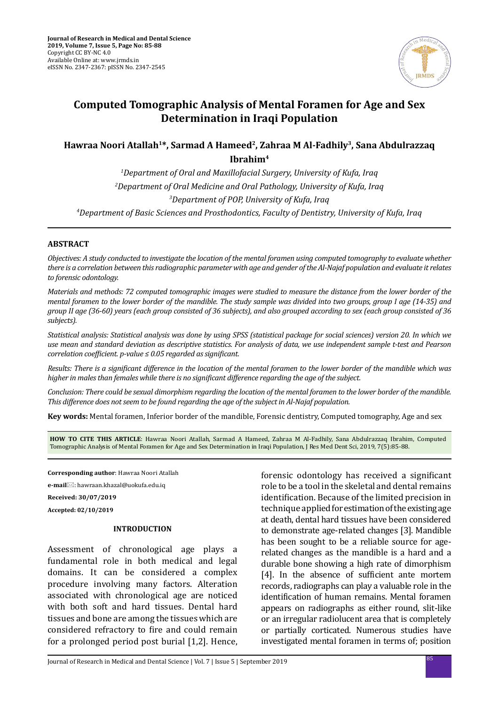

# **Computed Tomographic Analysis of Mental Foramen for Age and Sex Determination in Iraqi Population**

## **Hawraa Noori Atallah1\*, Sarmad A Hameed2, Zahraa M Al-Fadhily3, Sana Abdulrazzaq Ibrahim4**

*1 Department of Oral and Maxillofacial Surgery, University of Kufa, Iraq 2 Department of Oral Medicine and Oral Pathology, University of Kufa, Iraq 3 Department of POP, University of Kufa, Iraq*

*4 Department of Basic Sciences and Prosthodontics, Faculty of Dentistry, University of Kufa, Iraq*

## **ABSTRACT**

*Objectives: A study conducted to investigate the location of the mental foramen using computed tomography to evaluate whether there is a correlation between this radiographic parameter with age and gender of the Al-Najaf population and evaluate it relates to forensic odontology.* 

*Materials and methods: 72 computed tomographic images were studied to measure the distance from the lower border of the mental foramen to the lower border of the mandible. The study sample was divided into two groups, group I age (14-35) and group II age (36-60) years (each group consisted of 36 subjects), and also grouped according to sex (each group consisted of 36 subjects).* 

*Statistical analysis: Statistical analysis was done by using SPSS (statistical package for social sciences) version 20. In which we use mean and standard deviation as descriptive statistics. For analysis of data, we use independent sample t-test and Pearson correlation coefficient. p-value ≤ 0.05 regarded as significant.* 

*Results: There is a significant difference in the location of the mental foramen to the lower border of the mandible which was higher in males than females while there is no significant difference regarding the age of the subject.* 

*Conclusion: There could be sexual dimorphism regarding the location of the mental foramen to the lower border of the mandible. This difference does not seem to be found regarding the age of the subject in Al-Najaf population.*

**Key words:** Mental foramen, Inferior border of the mandible, Forensic dentistry, Computed tomography, Age and sex

**HOW TO CITE THIS ARTICLE**: Hawraa Noori Atallah, Sarmad A Hameed, Zahraa M Al-Fadhily, Sana Abdulrazzaq Ibrahim, Computed Tomographic Analysis of Mental Foramen for Age and Sex Determination in Iraqi Population, J Res Med Dent Sci, 2019, 7(5):85-88.

**Corresponding author**: Hawraa Noori Atallah

**e-mail**: hawraan.khazal@uokufa.edu.iq

**Received: 30/07/2019**

**Accepted: 02/10/2019**

## **INTRODUCTION**

Assessment of chronological age plays a fundamental role in both medical and legal domains. It can be considered a complex procedure involving many factors. Alteration associated with chronological age are noticed with both soft and hard tissues. Dental hard tissues and bone are among the tissues which are considered refractory to fire and could remain for a prolonged period post burial [1,2]. Hence, forensic odontology has received a significant role to be a tool in the skeletal and dental remains identification. Because of the limited precision in technique applied for estimation of the existing age at death, dental hard tissues have been considered to demonstrate age-related changes [3]. Mandible has been sought to be a reliable source for agerelated changes as the mandible is a hard and a durable bone showing a high rate of dimorphism [4]. In the absence of sufficient ante mortem records, radiographs can play a valuable role in the identification of human remains. Mental foramen appears on radiographs as either round, slit-like or an irregular radiolucent area that is completely or partially corticated. Numerous studies have investigated mental foramen in terms of; position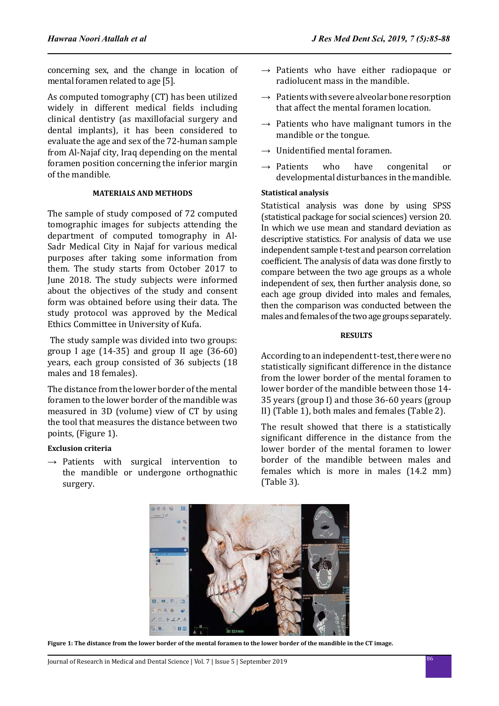concerning sex, and the change in location of mental foramen related to age [5].

As computed tomography (CT) has been utilized widely in different medical fields including clinical dentistry (as maxillofacial surgery and dental implants), it has been considered to evaluate the age and sex of the 72-human sample from Al-Najaf city, Iraq depending on the mental foramen position concerning the inferior margin of the mandible.

## **MATERIALS AND METHODS**

The sample of study composed of 72 computed tomographic images for subjects attending the department of computed tomography in Al-Sadr Medical City in Najaf for various medical purposes after taking some information from them. The study starts from October 2017 to June 2018. The study subjects were informed about the objectives of the study and consent form was obtained before using their data. The study protocol was approved by the Medical Ethics Committee in University of Kufa.

 The study sample was divided into two groups: group I age (14-35) and group II age (36-60) years, each group consisted of 36 subjects (18 males and 18 females).

The distance from the lower border of the mental foramen to the lower border of the mandible was measured in 3D (volume) view of CT by using the tool that measures the distance between two points, (Figure 1).

## **Exclusion criteria**

 $\rightarrow$  Patients with surgical intervention to the mandible or undergone orthognathic surgery.

- $\rightarrow$  Patients who have either radiopaque or radiolucent mass in the mandible.
- $\rightarrow$  Patients with severe alveolar bone resorption that affect the mental foramen location.
- $\rightarrow$  Patients who have malignant tumors in the mandible or the tongue.
- $\rightarrow$  Unidentified mental foramen.
- $\rightarrow$  Patients who have congenital or developmental disturbances in the mandible.

## **Statistical analysis**

Statistical analysis was done by using SPSS (statistical package for social sciences) version 20. In which we use mean and standard deviation as descriptive statistics. For analysis of data we use independent sample t-test and pearson correlation coefficient. The analysis of data was done firstly to compare between the two age groups as a whole independent of sex, then further analysis done, so each age group divided into males and females, then the comparison was conducted between the males and females of the two age groups separately.

## **RESULTS**

According to an independent t-test, there were no statistically significant difference in the distance from the lower border of the mental foramen to lower border of the mandible between those 14- 35 years (group I) and those 36-60 years (group II) (Table 1), both males and females (Table 2).

The result showed that there is a statistically significant difference in the distance from the lower border of the mental foramen to lower border of the mandible between males and females which is more in males (14.2 mm) (Table 3).



**Figure 1: The distance from the lower border of the mental foramen to the lower border of the mandible in the CT image.**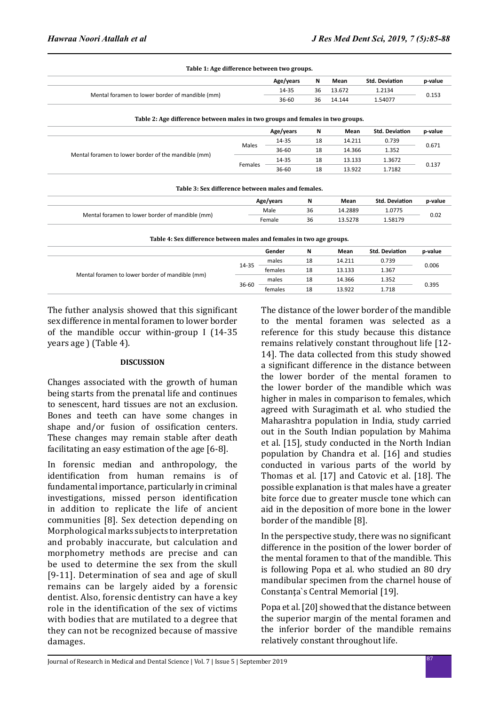| Table 1: Age difference between two groups.     |           |    |        |                       |         |  |
|-------------------------------------------------|-----------|----|--------|-----------------------|---------|--|
|                                                 | Age/years | N  | Mean   | <b>Std. Deviation</b> | p-value |  |
| Mental foramen to lower border of mandible (mm) | 14-35     | 36 | 13.672 | 1.2134                | 0.153   |  |
|                                                 | $36 - 60$ | 36 | 14.144 | 1.54077               |         |  |
|                                                 |           |    |        |                       |         |  |

**Table 2: Age difference between males in two groups and females in two groups.**

| Table 2. Age uniclence between males in two groups and lemales in two groups. |         |           |    |        |                       |         |
|-------------------------------------------------------------------------------|---------|-----------|----|--------|-----------------------|---------|
|                                                                               |         | Age/years | N  | Mean   | <b>Std. Deviation</b> | p-value |
|                                                                               |         | 14-35     | 18 | 14.211 | 0.739                 | 0.671   |
|                                                                               | Males   | 36-60     | 18 | 14.366 | 1.352                 |         |
| Mental foramen to lower border of the mandible (mm)                           |         | 14-35     | 18 | 13.133 | 1.3672                |         |
|                                                                               | Females | $36 - 60$ | 18 | 13.922 | 1.7182                | 0.137   |
|                                                                               |         |           |    |        |                       |         |

| Table 3: Sex difference between males and females. |           |    |         |                       |         |  |
|----------------------------------------------------|-----------|----|---------|-----------------------|---------|--|
|                                                    | Age/years | N  | Mean    | <b>Std. Deviation</b> | p-value |  |
|                                                    | Male      | 36 | 14.2889 | 1.0775                |         |  |
| Mental foramen to lower border of mandible (mm)    | Female    | 36 | 13.5278 | 1.58179               | 0.02    |  |

**Table 4: Sex difference between males and females in two age groups.**

|                                                 |       | Gender  | N  | Mean   | <b>Std. Deviation</b> | p-value |
|-------------------------------------------------|-------|---------|----|--------|-----------------------|---------|
| Mental foramen to lower border of mandible (mm) |       | males   | 18 | 14.211 | 0.739                 | 0.006   |
|                                                 | 14-35 | females | 18 | 13.133 | 1.367                 |         |
|                                                 |       | males   | 18 | 14.366 | 1.352                 | 0.395   |
|                                                 | 36-60 | females | 18 | 13.922 | 1.718                 |         |

The futher analysis showed that this significant sex difference in mental foramen to lower border of the mandible occur within-group I (14-35 years age ) (Table 4).

## **DISCUSSION**

Changes associated with the growth of human being starts from the prenatal life and continues to senescent, hard tissues are not an exclusion. Bones and teeth can have some changes in shape and/or fusion of ossification centers. These changes may remain stable after death facilitating an easy estimation of the age [6-8].

In forensic median and anthropology, the identification from human remains is of fundamental importance, particularly in criminal investigations, missed person identification in addition to replicate the life of ancient communities [8]. Sex detection depending on Morphological marks subjects to interpretation and probably inaccurate, but calculation and morphometry methods are precise and can be used to determine the sex from the skull [9-11]. Determination of sea and age of skull remains can be largely aided by a forensic dentist. Also, forensic dentistry can have a key role in the identification of the sex of victims with bodies that are mutilated to a degree that they can not be recognized because of massive damages.

The distance of the lower border of the mandible to the mental foramen was selected as a reference for this study because this distance remains relatively constant throughout life [12- 14]. The data collected from this study showed a significant difference in the distance between the lower border of the mental foramen to the lower border of the mandible which was higher in males in comparison to females, which agreed with Suragimath et al. who studied the Maharashtra population in India, study carried out in the South Indian population by Mahima et al. [15], study conducted in the North Indian population by Chandra et al. [16] and studies conducted in various parts of the world by Thomas et al. [17] and Catovic et al. [18]. The possible explanation is that males have a greater bite force due to greater muscle tone which can aid in the deposition of more bone in the lower border of the mandible [8].

In the perspective study, there was no significant difference in the position of the lower border of the mental foramen to that of the mandible. This is following Popa et al. who studied an 80 dry mandibular specimen from the charnel house of Constanţa`s Central Memorial [19].

Popa et al. [20] showed that the distance between the superior margin of the mental foramen and the inferior border of the mandible remains relatively constant throughout life.